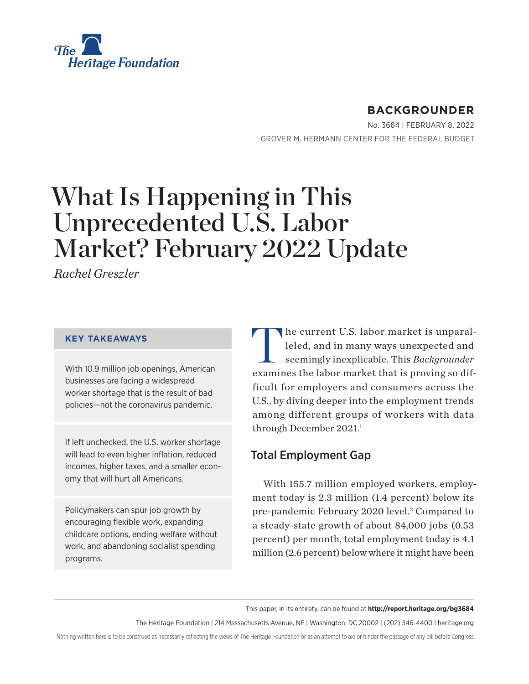<span id="page-0-0"></span>

# **BACKGROUNDER**

No. 3684 | February 8, 2022 GROVER M. HERMANN CENTER FOR THE FEDERAL BUDGET

# What Is Happening in This Unprecedented U.S. Labor Market? February 2022 Update

*Rachel Greszler*

#### **KEY TAKEAWAYS**

With 10.9 million job openings, American businesses are facing a widespread worker shortage that is the result of bad policies—not the coronavirus pandemic.

If left unchecked, the U.S. worker shortage will lead to even higher inflation, reduced incomes, higher taxes, and a smaller economy that will hurt all Americans.

Policymakers can spur job growth by encouraging flexible work, expanding childcare options, ending welfare without work, and abandoning socialist spending programs.

The current U.S. labor market is unparal-<br>leled, and in many ways unexpected and<br>seemingly inexplicable. This Backgrounder leled, and in many ways unexpected and seemingly inexplicable. This *Backgrounder* examines the labor market that is proving so difficult for employers and consumers across the U.S., by diving deeper into the employment trends among different groups of workers with data through December 2021.<sup>1</sup>

# Total Employment Gap

With 155.7 million employed workers, employment today is 2.3 million (1.4 percent) below its pre-pandemic February 2020 level.<sup>2</sup> Compared to a steady-state growth of about 84,000 jobs (0.53 percent) per month, total employment today is 4.1 million (2.6 percent) below where it might have been

This paper, in its entirety, can be found at **http://report.heritage.org/bg3684**

The Heritage Foundation | 214 Massachusetts Avenue, NE | Washington, DC 20002 | (202) 546-4400 | [heritage.org](https://www.hhs.gov/about/news/2018/09/24/statement-from-the-department-of-health-and-human-services.html)

Nothing written here is to be construed as necessarily reflecting the views of The Heritage Foundation or as an attempt to aid or hinder the passage of any bill before Congress.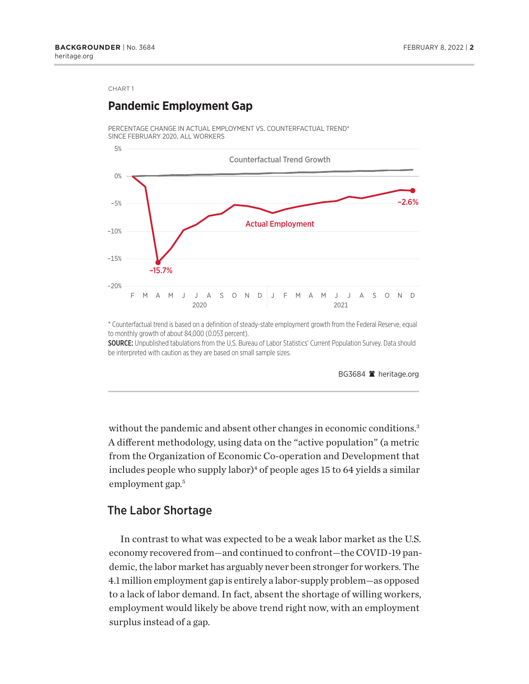### <span id="page-1-0"></span>**Pandemic Employment Gap**

PERCENTAGE CHANGE IN ACTUAL EMPLOYMENT VS. COUNTERFACTUAL TREND\* SINCE FEBRUARY 2020, ALL WORKERS



\* Counterfactual trend is based on a definition of steady-state employment growth from the Federal Reserve, equal to monthly growth of about 84,000 (0.053 percent).

SOURCE: Unpublished tabulations from the U.S. Bureau of Labor Statistics' Current Population Survey. Data should be interpreted with caution as they are based on small sample sizes.

BG3684 <sup>a</sup> heritage.org

without the pandemic and absent other changes in economic conditions.<sup>3</sup> A different methodology, using data on the "active population" (a metric from the Organization of Economic Co-operation and Development that includes people who supply labor)<sup>4</sup> of people ages 15 to 64 yields a similar employment gap.<sup>5</sup>

#### The Labor Shortage

In contrast to what was expected to be a weak labor market as the U.S. economy recovered from—and continued to confront—the COVID-19 pandemic, the labor market has arguably never been stronger for workers. The 4.1 million employment gap is entirely a labor-supply problem—as opposed to a lack of labor demand. In fact, absent the shortage of willing workers, employment would likely be above trend right now, with an employment surplus instead of a gap.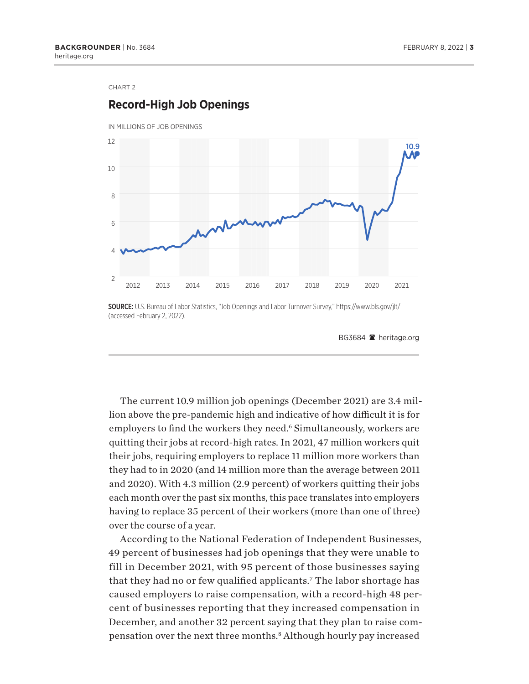### <span id="page-2-0"></span>**Record-High Job Openings**



SOURCE: U.S. Bureau of Labor Statistics, "Job Openings and Labor Turnover Survey," https://www.bls.gov/jlt/ (accessed February 2, 2022).

The current 10.9 million job openings (December 2021) are 3.4 million above the pre-pandemic high and indicative of how difficult it is for employers to find the workers they need.<sup>6</sup> Simultaneously, workers are quitting their jobs at record-high rates. In 2021, 47 million workers quit their jobs, requiring employers to replace 11 million more workers than they had to in 2020 (and 14 million more than the average between 2011 and 2020). With 4.3 million (2.9 percent) of workers quitting their jobs each month over the past six months, this pace translates into employers having to replace 35 percent of their workers (more than one of three) over the course of a year.

According to the National Federation of Independent Businesses, 49 percent of businesses had job openings that they were unable to fill in December 2021, with 95 percent of those businesses saying that they had no or few qualified applicants.<sup>7</sup> The labor shortage has caused employers to raise compensation, with a record-high 48 percent of businesses reporting that they increased compensation in December, and another 32 percent saying that they plan to raise com-pensation over the next three months.<sup>[8](#page-15-0)</sup> Although hourly pay increased

BG3684 <sup>a</sup> heritage.org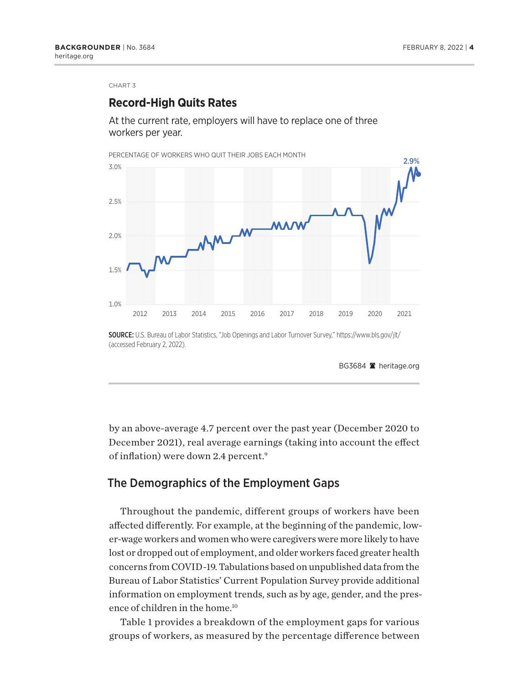### <span id="page-3-0"></span>**Record-High Quits Rates**

At the current rate, employers will have to replace one of three workers per year.



(accessed February 2, 2022).

BG3684 <sup>a</sup> heritage.org

by an above-average 4.7 percent over the past year (December 2020 to December 2021), real average earnings (taking into account the effect of inflation) were down 2.4 percent.<sup>9</sup>

### The Demographics of the Employment Gaps

Throughout the pandemic, different groups of workers have been affected differently. For example, at the beginning of the pandemic, lower-wage workers and women who were caregivers were more likely to have lost or dropped out of employment, and older workers faced greater health concerns from COVID-19. Tabulations based on unpublished data from the Bureau of Labor Statistics' Current Population Survey provide additional information on employment trends, such as by age, gender, and the pres-ence of children in the home.<sup>[10](#page-15-0)</sup>

Table 1 provides a breakdown of the employment gaps for various groups of workers, as measured by the percentage difference between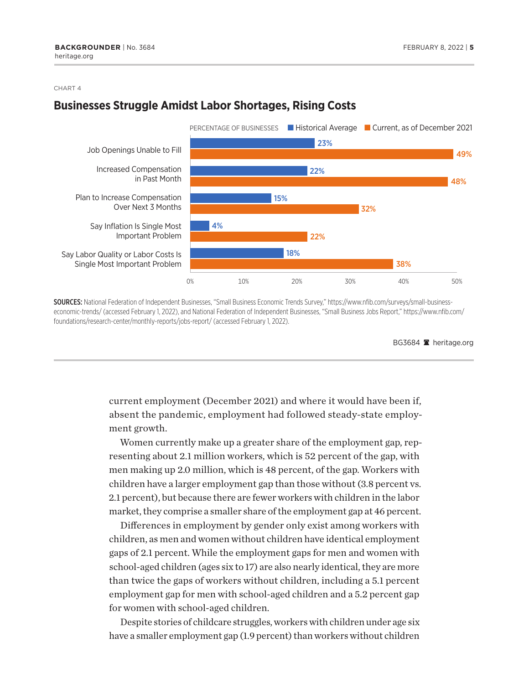### **Businesses Struggle Amidst Labor Shortages, Rising Costs**



SOURCES: National Federation of Independent Businesses, "Small Business Economic Trends Survey," https://www.nfib.com/surveys/small-businesseconomic-trends/ (accessed February 1, 2022), and National Federation of Independent Businesses, "Small Business Jobs Report," https://www.nfib.com/ foundations/research-center/monthly-reports/jobs-report/ (accessed February 1, 2022).

current employment (December 2021) and where it would have been if, absent the pandemic, employment had followed steady-state employment growth.

Women currently make up a greater share of the employment gap, representing about 2.1 million workers, which is 52 percent of the gap, with men making up 2.0 million, which is 48 percent, of the gap. Workers with children have a larger employment gap than those without (3.8 percent vs. 2.1 percent), but because there are fewer workers with children in the labor market, they comprise a smaller share of the employment gap at 46 percent.

Differences in employment by gender only exist among workers with children, as men and women without children have identical employment gaps of 2.1 percent. While the employment gaps for men and women with school-aged children (ages six to 17) are also nearly identical, they are more than twice the gaps of workers without children, including a 5.1 percent employment gap for men with school-aged children and a 5.2 percent gap for women with school-aged children.

Despite stories of childcare struggles, workers with children under age six have a smaller employment gap (1.9 percent) than workers without children

BG3684 <sup>a</sup> heritage.org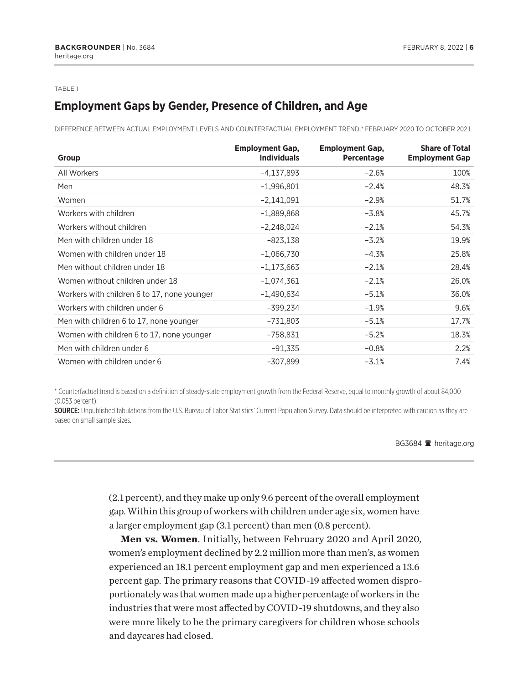#### TABLE 1

# **Employment Gaps by Gender, Presence of Children, and Age**

DIFFereNCe beTWeeN aCTuaL eMPLOyMeNT LeVeLS aND COuNTerFaCTuaL eMPLOyMeNT TreND,\* February 2020 TO OCTOber 2021

| Group                                       | <b>Employment Gap.</b><br><b>Individuals</b> | <b>Employment Gap,</b><br><b>Percentage</b> | <b>Share of Total</b><br><b>Employment Gap</b> |
|---------------------------------------------|----------------------------------------------|---------------------------------------------|------------------------------------------------|
| All Workers                                 | $-4,137,893$                                 | $-2.6%$                                     | 100%                                           |
| Men                                         | $-1,996,801$                                 | $-2.4%$                                     | 48.3%                                          |
| Women                                       | $-2,141,091$                                 | $-2.9%$                                     | 51.7%                                          |
| Workers with children                       | $-1,889,868$                                 | $-3.8%$                                     | 45.7%                                          |
| Workers without children                    | $-2,248,024$                                 | $-2.1%$                                     | 54.3%                                          |
| Men with children under 18                  | $-823,138$                                   | $-3.2%$                                     | 19.9%                                          |
| Women with children under 18                | $-1,066,730$                                 | $-4.3%$                                     | 25.8%                                          |
| Men without children under 18               | $-1,173,663$                                 | $-2.1%$                                     | 28.4%                                          |
| Women without children under 18             | $-1,074,361$                                 | $-2.1%$                                     | 26.0%                                          |
| Workers with children 6 to 17, none younger | $-1,490,634$                                 | $-5.1%$                                     | 36.0%                                          |
| Workers with children under 6               | $-399,234$                                   | $-1.9%$                                     | 9.6%                                           |
| Men with children 6 to 17, none younger     | $-731,803$                                   | $-5.1%$                                     | 17.7%                                          |
| Women with children 6 to 17, none younger   | $-758,831$                                   | $-5.2%$                                     | 18.3%                                          |
| Men with children under 6                   | $-91,335$                                    | $-0.8%$                                     | 2.2%                                           |
| Women with children under 6                 | $-307,899$                                   | $-3.1%$                                     | 7.4%                                           |

\* Counterfactual trend is based on a defi nition of steady-state employment growth from the Federal Reserve, equal to monthly growth of about 84,000 (0.053 percent).

SOURCE: Unpublished tabulations from the U.S. Bureau of Labor Statistics' Current Population Survey. Data should be interpreted with caution as they are based on small sample sizes.

#### BG3684 <sup>a</sup> heritage.org

(2.1 percent), and they make up only 9.6 percent of the overall employment gap. Within this group of workers with children under age six, women have a larger employment gap (3.1 percent) than men (0.8 percent).

**Men vs. Women**. Initially, between February 2020 and April 2020, women's employment declined by 2.2 million more than men's, as women experienced an 18.1 percent employment gap and men experienced a 13.6 percent gap. The primary reasons that COVID-19 affected women disproportionately was that women made up a higher percentage of workers in the industries that were most affected by COVID-19 shutdowns, and they also were more likely to be the primary caregivers for children whose schools and daycares had closed.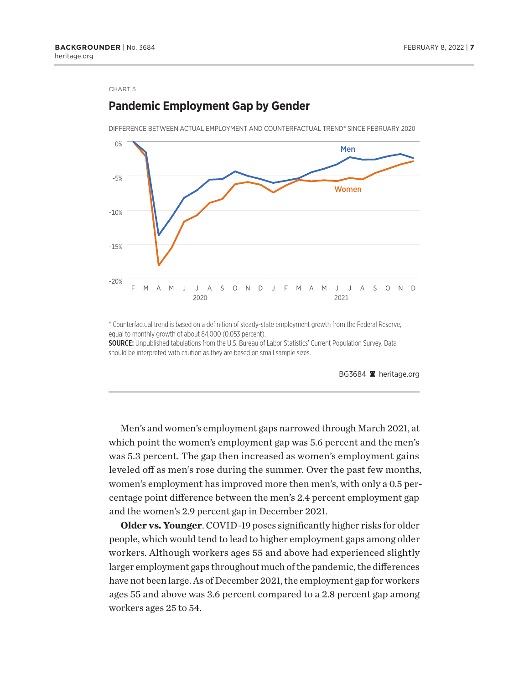### **Pandemic Employment Gap by Gender**

DIFFERENCE BETWEEN ACTUAL EMPLOYMENT AND COUNTERFACTUAL TREND\* SINCE FEBRUARY 2020



\* Counterfactual trend is based on a definition of steady-state employment growth from the Federal Reserve, equal to monthly growth of about 84,000 (0.053 percent).

SOURCE: Unpublished tabulations from the U.S. Bureau of Labor Statistics' Current Population Survey. Data should be interpreted with caution as they are based on small sample sizes.

BG3684 <sup>a</sup> heritage.org

Men's and women's employment gaps narrowed through March 2021, at which point the women's employment gap was 5.6 percent and the men's was 5.3 percent. The gap then increased as women's employment gains leveled off as men's rose during the summer. Over the past few months, women's employment has improved more then men's, with only a 0.5 percentage point difference between the men's 2.4 percent employment gap and the women's 2.9 percent gap in December 2021.

**Older vs. Younger**. COVID-19 poses significantly higher risks for older people, which would tend to lead to higher employment gaps among older workers. Although workers ages 55 and above had experienced slightly larger employment gaps throughout much of the pandemic, the differences have not been large. As of December 2021, the employment gap for workers ages 55 and above was 3.6 percent compared to a 2.8 percent gap among workers ages 25 to 54.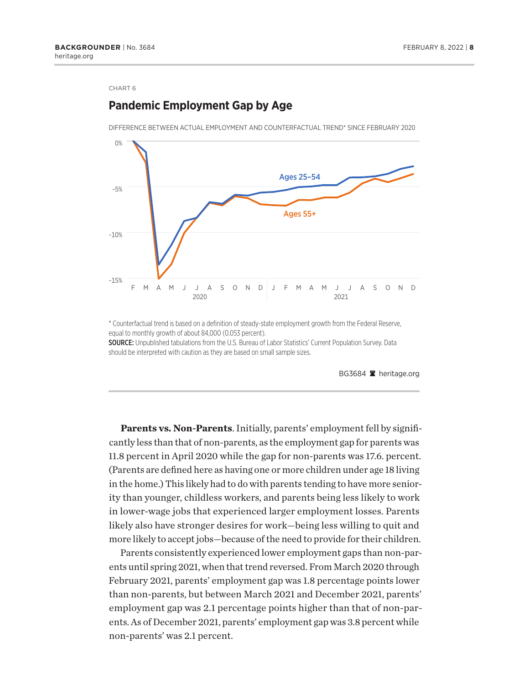### **Pandemic Employment Gap by Age**



DIFFERENCE BETWEEN ACTUAL EMPLOYMENT AND COUNTERFACTUAL TREND\* SINCE FEBRUARY 2020

\* Counterfactual trend is based on a definition of steady-state employment growth from the Federal Reserve, equal to monthly growth of about 84,000 (0.053 percent).

SOURCE: Unpublished tabulations from the U.S. Bureau of Labor Statistics' Current Population Survey. Data should be interpreted with caution as they are based on small sample sizes.

BG3684 <sup>a</sup> heritage.org

**Parents vs. Non-Parents**. Initially, parents' employment fell by significantly less than that of non-parents, as the employment gap for parents was 11.8 percent in April 2020 while the gap for non-parents was 17.6. percent. (Parents are defined here as having one or more children under age 18 living in the home.) This likely had to do with parents tending to have more seniority than younger, childless workers, and parents being less likely to work in lower-wage jobs that experienced larger employment losses. Parents likely also have stronger desires for work—being less willing to quit and more likely to accept jobs—because of the need to provide for their children.

Parents consistently experienced lower employment gaps than non-parents until spring 2021, when that trend reversed. From March 2020 through February 2021, parents' employment gap was 1.8 percentage points lower than non-parents, but between March 2021 and December 2021, parents' employment gap was 2.1 percentage points higher than that of non-parents. As of December 2021, parents' employment gap was 3.8 percent while non-parents' was 2.1 percent.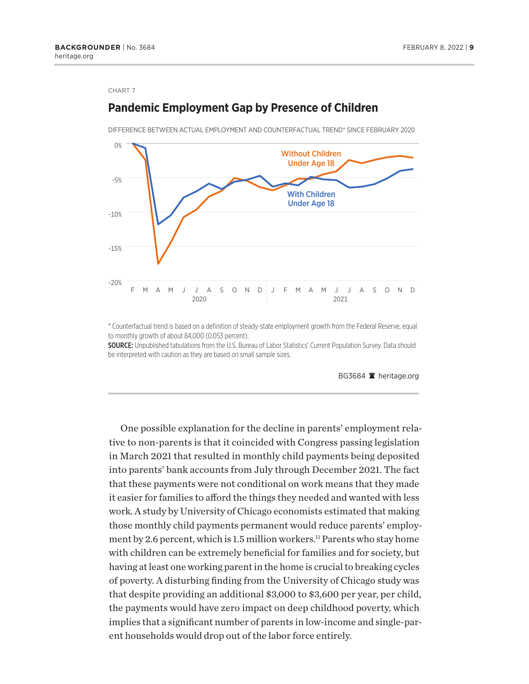# -20% -15% -10% -5% 0% F M A M J J A S O N D J F M A M J J A S O N D 2020 2021 With Children Under Age 18 Without Children Under Age 18

DIFFERENCE BETWEEN ACTUAL EMPLOYMENT AND COUNTERFACTUAL TREND\* SINCE FEBRUARY 2020

<span id="page-8-0"></span>**Pandemic Employment Gap by Presence of Children**

\* Counterfactual trend is based on a definition of steady-state employment growth from the Federal Reserve, equal to monthly growth of about 84,000 (0.053 percent).

SOURCE: Unpublished tabulations from the U.S. Bureau of Labor Statistics' Current Population Survey. Data should be interpreted with caution as they are based on small sample sizes.

BG3684 <sup>a</sup> heritage.org

One possible explanation for the decline in parents' employment relative to non-parents is that it coincided with Congress passing legislation in March 2021 that resulted in monthly child payments being deposited into parents' bank accounts from July through December 2021. The fact that these payments were not conditional on work means that they made it easier for families to afford the things they needed and wanted with less work. A study by University of Chicago economists estimated that making those monthly child payments permanent would reduce parents' employment by 2.6 percent, which is 1.5 million workers.<sup>11</sup> Parents who stay home with children can be extremely beneficial for families and for society, but having at least one working parent in the home is crucial to breaking cycles of poverty. A disturbing finding from the University of Chicago study was that despite providing an additional \$3,000 to \$3,600 per year, per child, the payments would have zero impact on deep childhood poverty, which implies that a significant number of parents in low-income and single-parent households would drop out of the labor force entirely.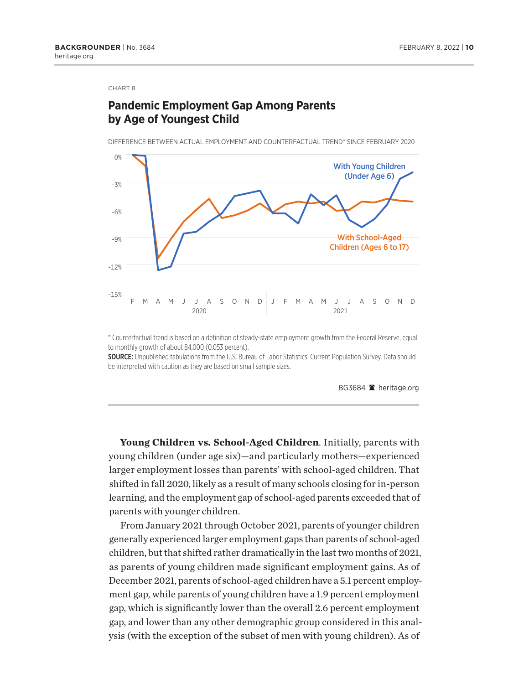### **Pandemic Employment Gap Among Parents by Age of Youngest Child**

DIFFERENCE BETWEEN ACTUAL EMPLOYMENT AND COUNTERFACTUAL TREND\* SINCE FEBRUARY 2020



\* Counterfactual trend is based on a definition of steady-state employment growth from the Federal Reserve, equal to monthly growth of about 84,000 (0.053 percent).

SOURCE: Unpublished tabulations from the U.S. Bureau of Labor Statistics' Current Population Survey. Data should be interpreted with caution as they are based on small sample sizes.

BG3684 **A** heritage.org

**Young Children vs. School-Aged Children**. Initially, parents with young children (under age six)—and particularly mothers—experienced larger employment losses than parents' with school-aged children. That shifted in fall 2020, likely as a result of many schools closing for in-person learning, and the employment gap of school-aged parents exceeded that of parents with younger children.

From January 2021 through October 2021, parents of younger children generally experienced larger employment gaps than parents of school-aged children, but that shifted rather dramatically in the last two months of 2021, as parents of young children made significant employment gains. As of December 2021, parents of school-aged children have a 5.1 percent employment gap, while parents of young children have a 1.9 percent employment gap, which is significantly lower than the overall 2.6 percent employment gap, and lower than any other demographic group considered in this analysis (with the exception of the subset of men with young children). As of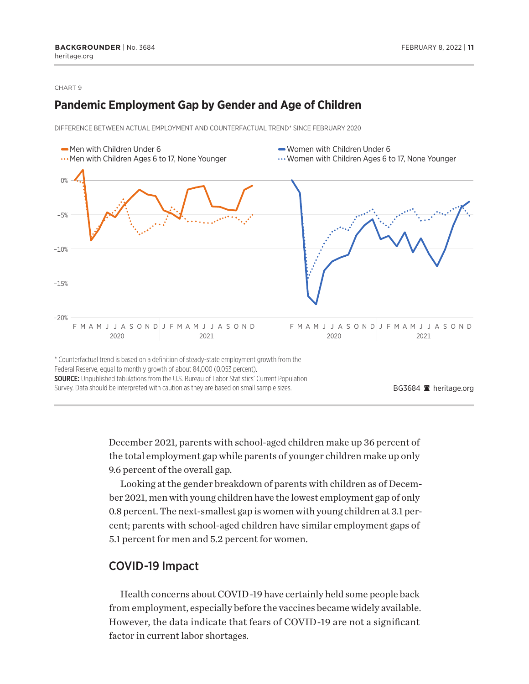### **Pandemic Employment Gap by Gender and Age of Children**

DIFFERENCE BETWEEN ACTUAL EMPLOYMENT AND COUNTERFACTUAL TREND\* SINCE FEBRUARY 2020



December 2021, parents with school-aged children make up 36 percent of the total employment gap while parents of younger children make up only 9.6 percent of the overall gap.

Looking at the gender breakdown of parents with children as of December 2021, men with young children have the lowest employment gap of only 0.8 percent. The next-smallest gap is women with young children at 3.1 percent; parents with school-aged children have similar employment gaps of 5.1 percent for men and 5.2 percent for women.

### COVID-19 Impact

Health concerns about COVID-19 have certainly held some people back from employment, especially before the vaccines became widely available. However, the data indicate that fears of COVID-19 are not a significant factor in current labor shortages.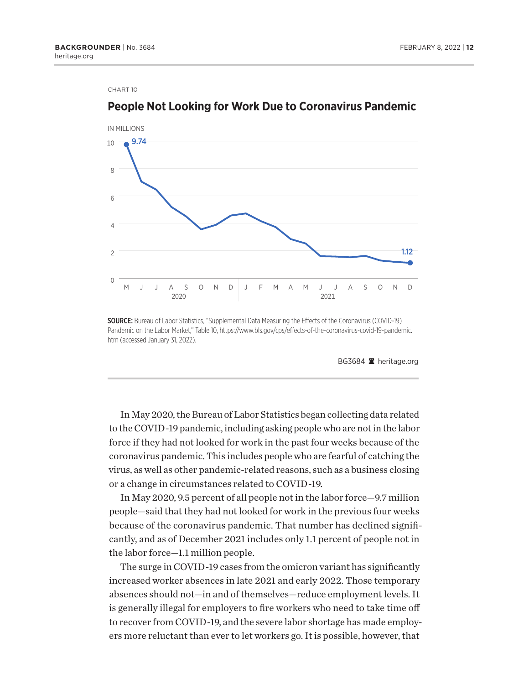

### **People Not Looking for Work Due to Coronavirus Pandemic**

**SOURCE:** Bureau of Labor Statistics, "Supplemental Data Measuring the Effects of the Coronavirus (COVID-19) Pandemic on the Labor Market," Table 10, https://www.bls.gov/cps/effects-of-the-coronavirus-covid-19-pandemic. htm (accessed January 31, 2022).

BG3684 <sup>a</sup> heritage.org

In May 2020, the Bureau of Labor Statistics began collecting data related to the COVID-19 pandemic, including asking people who are not in the labor force if they had not looked for work in the past four weeks because of the coronavirus pandemic. This includes people who are fearful of catching the virus, as well as other pandemic-related reasons, such as a business closing or a change in circumstances related to COVID-19.

In May 2020, 9.5 percent of all people not in the labor force—9.7 million people—said that they had not looked for work in the previous four weeks because of the coronavirus pandemic. That number has declined significantly, and as of December 2021 includes only 1.1 percent of people not in the labor force—1.1 million people.

The surge in COVID-19 cases from the omicron variant has significantly increased worker absences in late 2021 and early 2022. Those temporary absences should not—in and of themselves—reduce employment levels. It is generally illegal for employers to fire workers who need to take time off to recover from COVID-19, and the severe labor shortage has made employers more reluctant than ever to let workers go. It is possible, however, that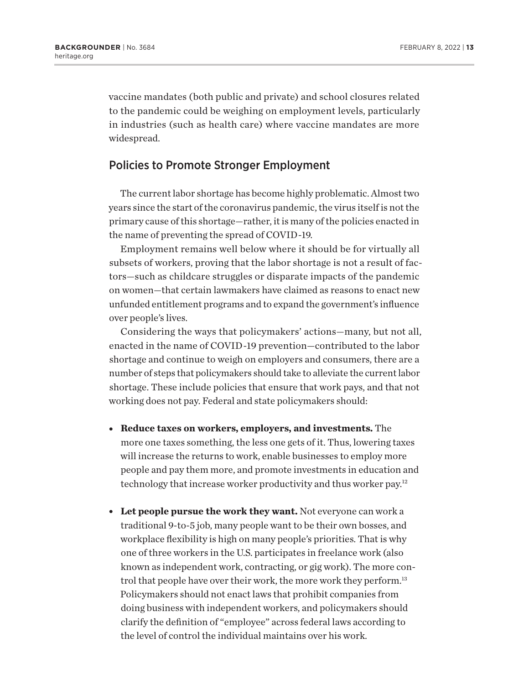<span id="page-12-0"></span>vaccine mandates (both public and private) and school closures related to the pandemic could be weighing on employment levels, particularly in industries (such as health care) where vaccine mandates are more widespread.

### Policies to Promote Stronger Employment

The current labor shortage has become highly problematic. Almost two years since the start of the coronavirus pandemic, the virus itself is not the primary cause of this shortage—rather, it is many of the policies enacted in the name of preventing the spread of COVID-19.

Employment remains well below where it should be for virtually all subsets of workers, proving that the labor shortage is not a result of factors—such as childcare struggles or disparate impacts of the pandemic on women—that certain lawmakers have claimed as reasons to enact new unfunded entitlement programs and to expand the government's influence over people's lives.

Considering the ways that policymakers' actions—many, but not all, enacted in the name of COVID-19 prevention—contributed to the labor shortage and continue to weigh on employers and consumers, there are a number of steps that policymakers should take to alleviate the current labor shortage. These include policies that ensure that work pays, and that not working does not pay. Federal and state policymakers should:

- **Reduce taxes on workers, employers, and investments.** The more one taxes something, the less one gets of it. Thus, lowering taxes will increase the returns to work, enable businesses to employ more people and pay them more, and promote investments in education and technology that increase worker productivity and thus worker pay.[12](#page-15-0)
- **Let people pursue the work they want.** Not everyone can work a traditional 9-to-5 job, many people want to be their own bosses, and workplace flexibility is high on many people's priorities. That is why one of three workers in the U.S. participates in freelance work (also known as independent work, contracting, or gig work). The more control that people have over their work, the more work they perform.<sup>13</sup> Policymakers should not enact laws that prohibit companies from doing business with independent workers, and policymakers should clarify the definition of "employee" across federal laws according to the level of control the individual maintains over his work.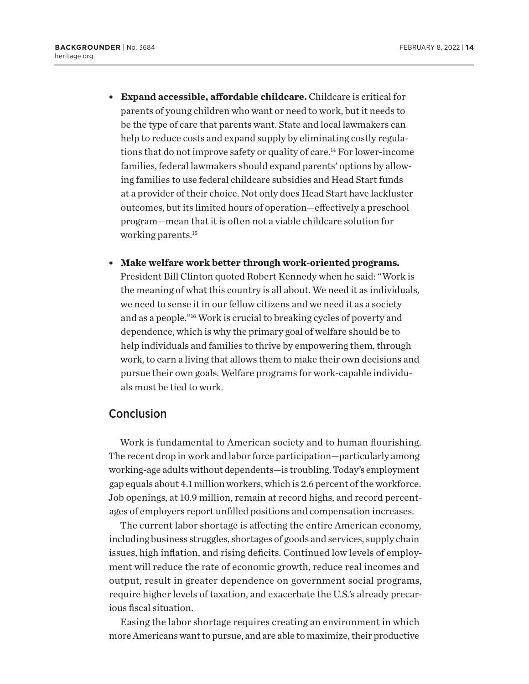- <span id="page-13-0"></span><sup>l</sup> **Expand accessible, affordable childcare.** Childcare is critical for parents of young children who want or need to work, but it needs to be the type of care that parents want. State and local lawmakers can help to reduce costs and expand supply by eliminating costly regulations that do not improve safety or quality of care.[14](#page-15-0) For lower-income families, federal lawmakers should expand parents' options by allowing families to use federal childcare subsidies and Head Start funds at a provider of their choice. Not only does Head Start have lackluster outcomes, but its limited hours of operation—effectively a preschool program—mean that it is often not a viable childcare solution for working parents.[15](#page-15-0)
- **Make welfare work better through work-oriented programs.** President Bill Clinton quoted Robert Kennedy when he said: "Work is the meaning of what this country is all about. We need it as individuals, we need to sense it in our fellow citizens and we need it as a society and as a people."[16](#page-15-0) Work is crucial to breaking cycles of poverty and dependence, which is why the primary goal of welfare should be to help individuals and families to thrive by empowering them, through work, to earn a living that allows them to make their own decisions and pursue their own goals. Welfare programs for work-capable individuals must be tied to work.

### Conclusion

Work is fundamental to American society and to human flourishing. The recent drop in work and labor force participation—particularly among working-age adults without dependents—is troubling. Today's employment gap equals about 4.1 million workers, which is 2.6 percent of the workforce. Job openings, at 10.9 million, remain at record highs, and record percentages of employers report unfilled positions and compensation increases.

The current labor shortage is affecting the entire American economy, including business struggles, shortages of goods and services, supply chain issues, high inflation, and rising deficits. Continued low levels of employment will reduce the rate of economic growth, reduce real incomes and output, result in greater dependence on government social programs, require higher levels of taxation, and exacerbate the U.S.'s already precarious fiscal situation.

Easing the labor shortage requires creating an environment in which more Americans want to pursue, and are able to maximize, their productive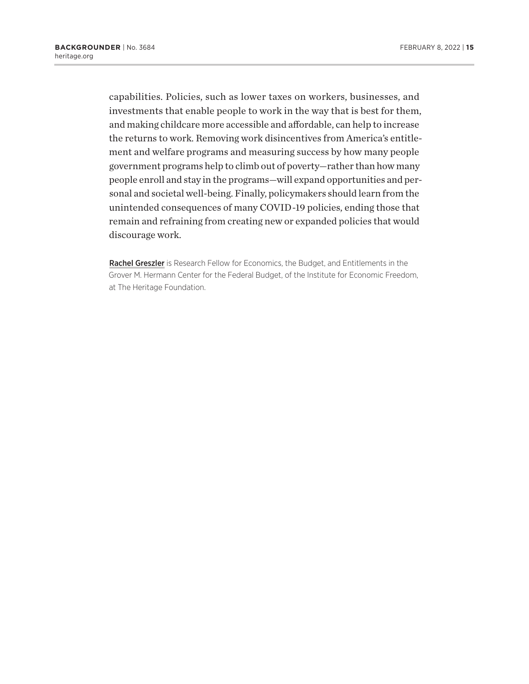capabilities. Policies, such as lower taxes on workers, businesses, and investments that enable people to work in the way that is best for them, and making childcare more accessible and affordable, can help to increase the returns to work. Removing work disincentives from America's entitlement and welfare programs and measuring success by how many people government programs help to climb out of poverty—rather than how many people enroll and stay in the programs—will expand opportunities and personal and societal well-being. Finally, policymakers should learn from the unintended consequences of many COVID-19 policies, ending those that remain and refraining from creating new or expanded policies that would discourage work.

Rachel Greszler is Research Fellow for Economics, the Budget, and Entitlements in the Grover M. Hermann Center for the Federal Budget, of the Institute for Economic Freedom, at The Heritage Foundation.